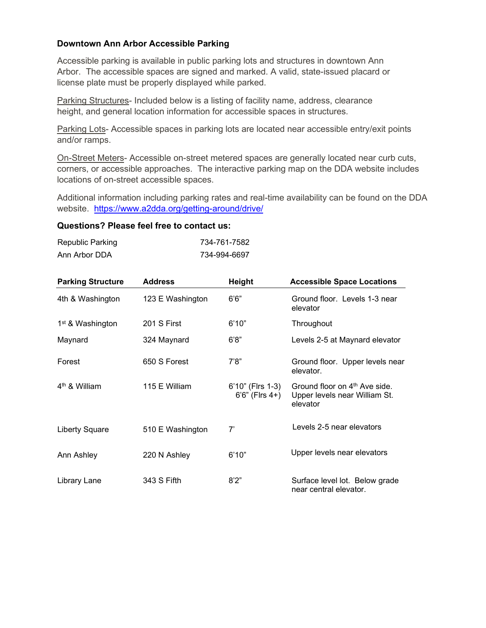## **Downtown Ann Arbor Accessible Parking**

Accessible parking is available in public parking lots and structures in downtown Ann Arbor. The accessible spaces are signed and marked. A valid, state-issued placard or license plate must be properly displayed while parked.

Parking Structures- Included below is a listing of facility name, address, clearance height, and general location information for accessible spaces in structures.

Parking Lots- Accessible spaces in parking lots are located near accessible entry/exit points and/or ramps.

On-Street Meters- Accessible on-street metered spaces are generally located near curb cuts, corners, or accessible approaches. The interactive parking map on the DDA website includes locations of on-street accessible spaces.

Additional information including parking rates and real-time availability can be found on the DDA website. <https://www.a2dda.org/getting-around/drive/>

## **Questions? Please feel free to contact us:**

| Republic Parking | 734-761-7582 |
|------------------|--------------|
| Ann Arbor DDA    | 734-994-6697 |

| <b>Parking Structure</b>     | <b>Address</b>   | <b>Height</b>                           | <b>Accessible Space Locations</b>                                                      |
|------------------------------|------------------|-----------------------------------------|----------------------------------------------------------------------------------------|
| 4th & Washington             | 123 E Washington | 6'6"                                    | Ground floor. Levels 1-3 near<br>elevator                                              |
| 1 <sup>st</sup> & Washington | 201 S First      | 6'10"                                   | Throughout                                                                             |
| Maynard                      | 324 Maynard      | 6'8"                                    | Levels 2-5 at Maynard elevator                                                         |
| Forest                       | 650 S Forest     | 7'8''                                   | Ground floor. Upper levels near<br>elevator.                                           |
| $4th$ & William              | 115 E William    | 6'10" (Flrs 1-3)<br>$6'6''$ (Firs $4+)$ | Ground floor on 4 <sup>th</sup> Ave side.<br>Upper levels near William St.<br>elevator |
| <b>Liberty Square</b>        | 510 E Washington | 7'                                      | Levels 2-5 near elevators                                                              |
| Ann Ashley                   | 220 N Ashley     | 6'10"                                   | Upper levels near elevators                                                            |
| Library Lane                 | 343 S Fifth      | 8'2"                                    | Surface level lot. Below grade<br>near central elevator.                               |